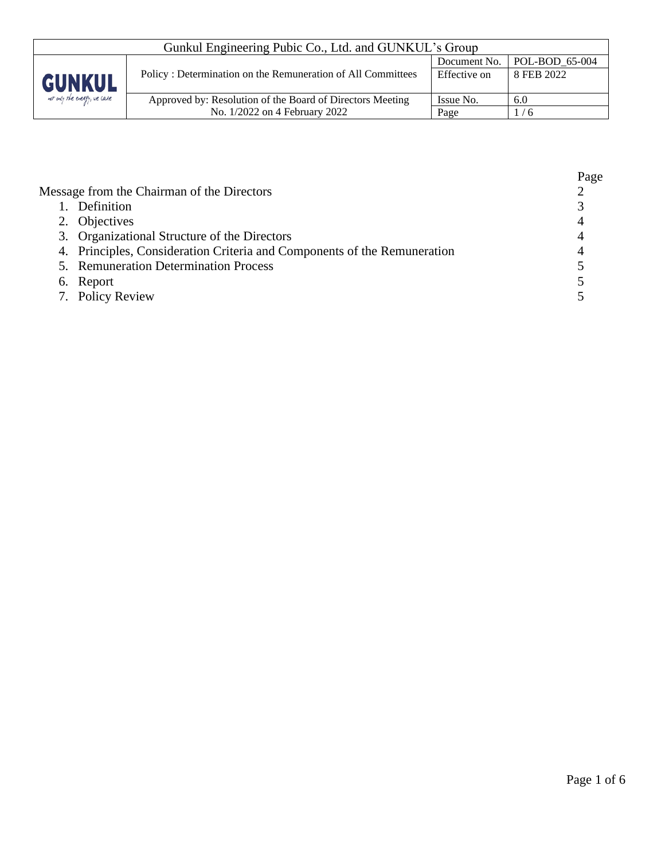| Gunkul Engineering Pubic Co., Ltd. and GUNKUL's Group |                                                             |                                  |            |  |
|-------------------------------------------------------|-------------------------------------------------------------|----------------------------------|------------|--|
|                                                       |                                                             | $POL-BOD_65-004$<br>Document No. |            |  |
| <b>GUNKUL</b><br>not only the energy, we care         | Policy: Determination on the Remuneration of All Committees | Effective on                     | 8 FEB 2022 |  |
|                                                       | Approved by: Resolution of the Board of Directors Meeting   | Issue No.                        | 6.0        |  |
|                                                       | No. 1/2022 on 4 February 2022                               | Page                             | 1/6        |  |

|                                                                          | Page |
|--------------------------------------------------------------------------|------|
| Message from the Chairman of the Directors                               |      |
| 1. Definition                                                            |      |
| 2. Objectives                                                            |      |
| 3. Organizational Structure of the Directors                             |      |
| 4. Principles, Consideration Criteria and Components of the Remuneration |      |
| 5. Remuneration Determination Process                                    |      |
| 6. Report                                                                |      |
| 7. Policy Review                                                         |      |
|                                                                          |      |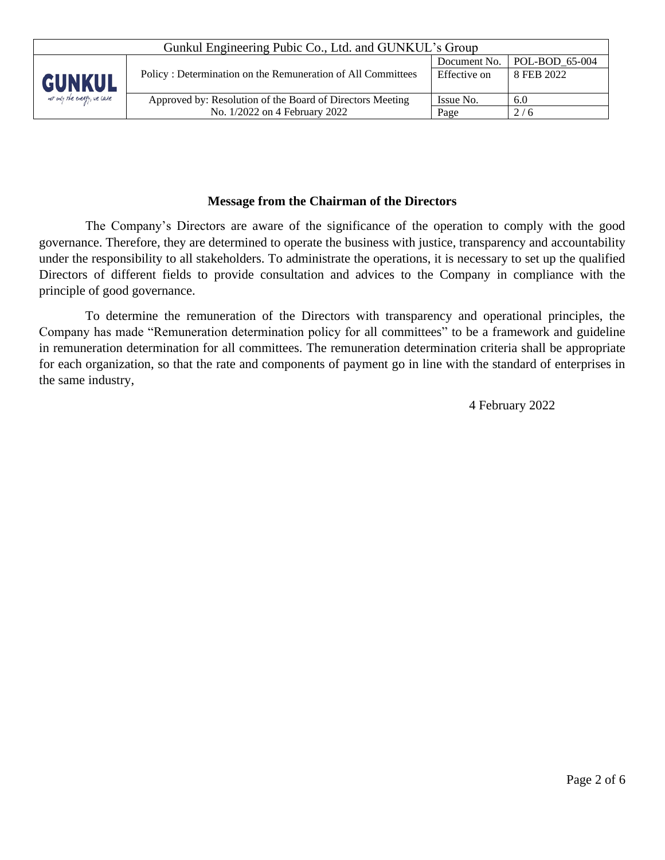| Gunkul Engineering Pubic Co., Ltd. and GUNKUL's Group |                                                             |                                  |            |  |
|-------------------------------------------------------|-------------------------------------------------------------|----------------------------------|------------|--|
|                                                       |                                                             | $POL-BOD 65-004$<br>Document No. |            |  |
| <b>GUNKUL</b>                                         | Policy: Determination on the Remuneration of All Committees | Effective on                     | 8 FEB 2022 |  |
| not only the energy, we care                          | Approved by: Resolution of the Board of Directors Meeting   | Issue No.                        | 6.0        |  |
|                                                       | No. 1/2022 on 4 February 2022                               | Page                             | 2/6        |  |

### **Message from the Chairman of the Directors**

The Company's Directors are aware of the significance of the operation to comply with the good governance. Therefore, they are determined to operate the business with justice, transparency and accountability under the responsibility to all stakeholders. To administrate the operations, it is necessary to set up the qualified Directors of different fields to provide consultation and advices to the Company in compliance with the principle of good governance.

To determine the remuneration of the Directors with transparency and operational principles, the Company has made "Remuneration determination policy for all committees" to be a framework and guideline in remuneration determination for all committees. The remuneration determination criteria shall be appropriate for each organization, so that the rate and components of payment go in line with the standard of enterprises in the same industry,

4 February 2022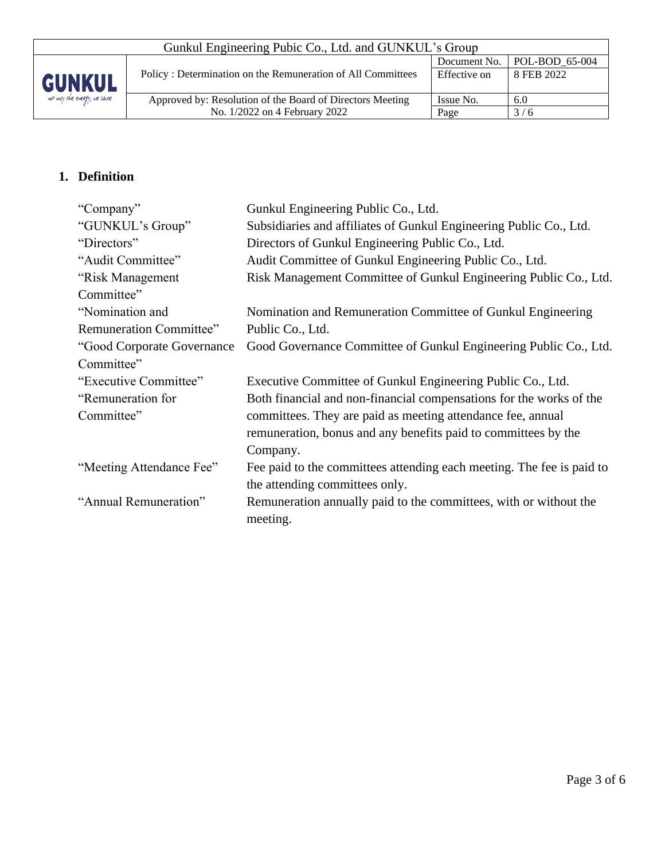| Gunkul Engineering Pubic Co., Ltd. and GUNKUL's Group |                                                             |                               |            |  |
|-------------------------------------------------------|-------------------------------------------------------------|-------------------------------|------------|--|
|                                                       |                                                             | Document No.   POL-BOD 65-004 |            |  |
| <b>GUNKUL</b>                                         | Policy: Determination on the Remuneration of All Committees | Effective on                  | 8 FEB 2022 |  |
| not only the energy, we care                          | Approved by: Resolution of the Board of Directors Meeting   | Issue No.                     | 6.0        |  |
|                                                       | No. 1/2022 on 4 February 2022                               | Page                          | 3/6        |  |

# **1. Definition**

| "Company"                   | Gunkul Engineering Public Co., Ltd.                                   |
|-----------------------------|-----------------------------------------------------------------------|
| "GUNKUL's Group"            | Subsidiaries and affiliates of Gunkul Engineering Public Co., Ltd.    |
| "Directors"                 | Directors of Gunkul Engineering Public Co., Ltd.                      |
| "Audit Committee"           | Audit Committee of Gunkul Engineering Public Co., Ltd.                |
| "Risk Management            | Risk Management Committee of Gunkul Engineering Public Co., Ltd.      |
| Committee"                  |                                                                       |
| "Nomination and             | Nomination and Remuneration Committee of Gunkul Engineering           |
| Remuneration Committee"     | Public Co., Ltd.                                                      |
| "Good Corporate Governance" | Good Governance Committee of Gunkul Engineering Public Co., Ltd.      |
| Committee"                  |                                                                       |
| "Executive Committee"       | Executive Committee of Gunkul Engineering Public Co., Ltd.            |
| "Remuneration for           | Both financial and non-financial compensations for the works of the   |
| Committee"                  | committees. They are paid as meeting attendance fee, annual           |
|                             | remuneration, bonus and any benefits paid to committees by the        |
|                             | Company.                                                              |
| "Meeting Attendance Fee"    | Fee paid to the committees attending each meeting. The fee is paid to |
|                             | the attending committees only.                                        |
| "Annual Remuneration"       | Remuneration annually paid to the committees, with or without the     |
|                             | meeting.                                                              |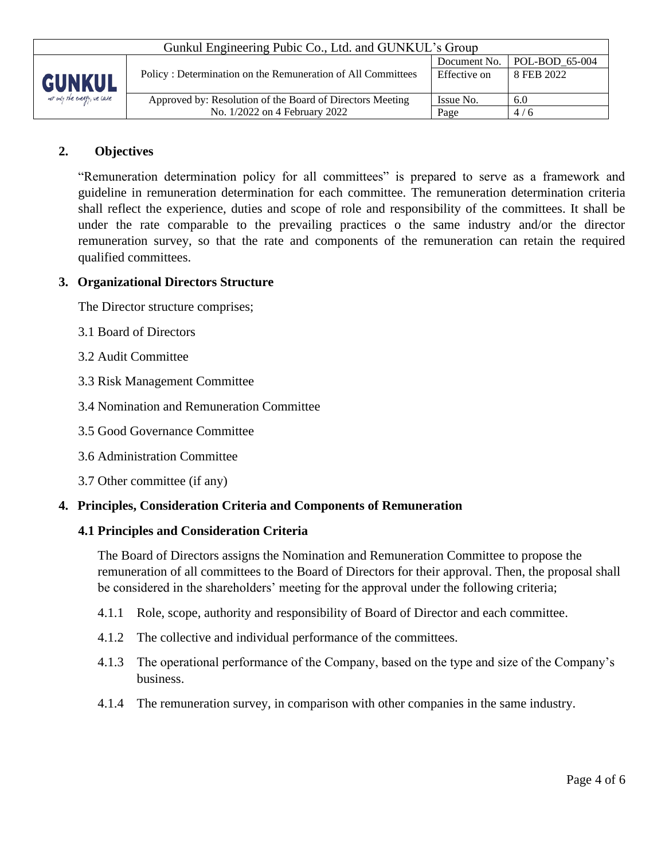| Gunkul Engineering Pubic Co., Ltd. and GUNKUL's Group |                                                             |              |                        |  |
|-------------------------------------------------------|-------------------------------------------------------------|--------------|------------------------|--|
|                                                       |                                                             | Document No. | $\vert$ POL-BOD 65-004 |  |
| <b>GUNKUL</b>                                         | Policy: Determination on the Remuneration of All Committees | Effective on | 8 FEB 2022             |  |
| not only the every, we care                           | Approved by: Resolution of the Board of Directors Meeting   | Issue No.    | 6.0                    |  |
|                                                       | No. 1/2022 on 4 February 2022                               | Page         | 4/6                    |  |

## **2. Objectives**

"Remuneration determination policy for all committees" is prepared to serve as a framework and guideline in remuneration determination for each committee. The remuneration determination criteria shall reflect the experience, duties and scope of role and responsibility of the committees. It shall be under the rate comparable to the prevailing practices o the same industry and/or the director remuneration survey, so that the rate and components of the remuneration can retain the required qualified committees.

### **3. Organizational Directors Structure**

The Director structure comprises;

- 3.1 Board of Directors
- 3.2 Audit Committee
- 3.3 Risk Management Committee
- 3.4 Nomination and Remuneration Committee
- 3.5 Good Governance Committee
- 3.6 Administration Committee
- 3.7 Other committee (if any)

### **4. Principles, Consideration Criteria and Components of Remuneration**

#### **4.1 Principles and Consideration Criteria**

The Board of Directors assigns the Nomination and Remuneration Committee to propose the remuneration of all committees to the Board of Directors for their approval. Then, the proposal shall be considered in the shareholders' meeting for the approval under the following criteria;

- 4.1.1 Role, scope, authority and responsibility of Board of Director and each committee.
- 4.1.2 The collective and individual performance of the committees.
- 4.1.3 The operational performance of the Company, based on the type and size of the Company's business.
- 4.1.4 The remuneration survey, in comparison with other companies in the same industry.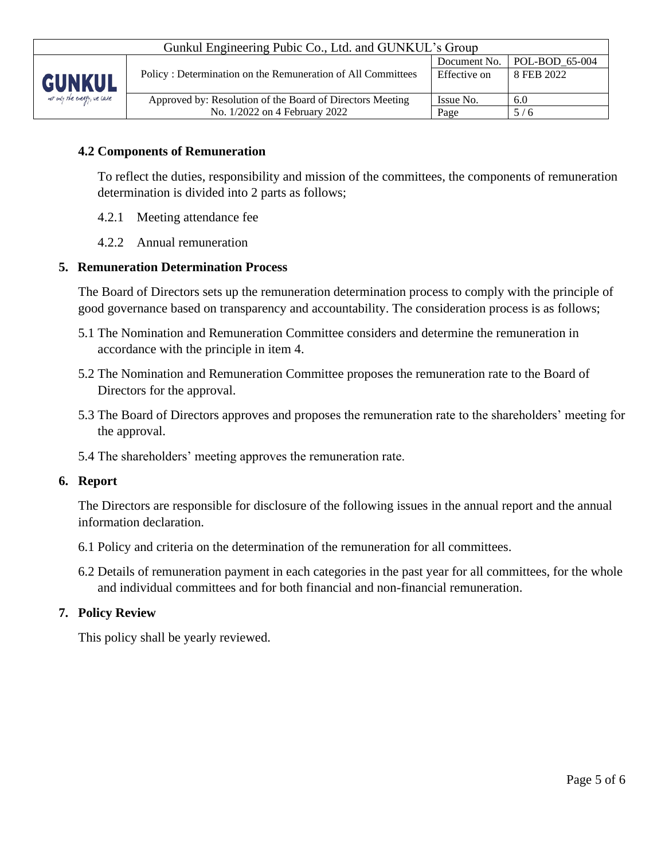| Gunkul Engineering Pubic Co., Ltd. and GUNKUL's Group |                                                             |                                        |            |  |
|-------------------------------------------------------|-------------------------------------------------------------|----------------------------------------|------------|--|
|                                                       |                                                             | $\vert$ POL-BOD 65-004<br>Document No. |            |  |
| <b>GUNKUL</b>                                         | Policy: Determination on the Remuneration of All Committees | Effective on                           | 8 FEB 2022 |  |
| not only the energy, we care                          | Approved by: Resolution of the Board of Directors Meeting   | Issue No.                              | 6.0        |  |
|                                                       | No. 1/2022 on 4 February 2022                               | Page                                   | 5/6        |  |

## **4.2 Components of Remuneration**

To reflect the duties, responsibility and mission of the committees, the components of remuneration determination is divided into 2 parts as follows;

- 4.2.1 Meeting attendance fee
- 4.2.2 Annual remuneration

### **5. Remuneration Determination Process**

The Board of Directors sets up the remuneration determination process to comply with the principle of good governance based on transparency and accountability. The consideration process is as follows;

- 5.1 The Nomination and Remuneration Committee considers and determine the remuneration in accordance with the principle in item 4.
- 5.2 The Nomination and Remuneration Committee proposes the remuneration rate to the Board of Directors for the approval.
- 5.3 The Board of Directors approves and proposes the remuneration rate to the shareholders' meeting for the approval.
- 5.4 The shareholders' meeting approves the remuneration rate.

#### **6. Report**

The Directors are responsible for disclosure of the following issues in the annual report and the annual information declaration.

- 6.1 Policy and criteria on the determination of the remuneration for all committees.
- 6.2 Details of remuneration payment in each categories in the past year for all committees, for the whole and individual committees and for both financial and non-financial remuneration.

### **7. Policy Review**

This policy shall be yearly reviewed.